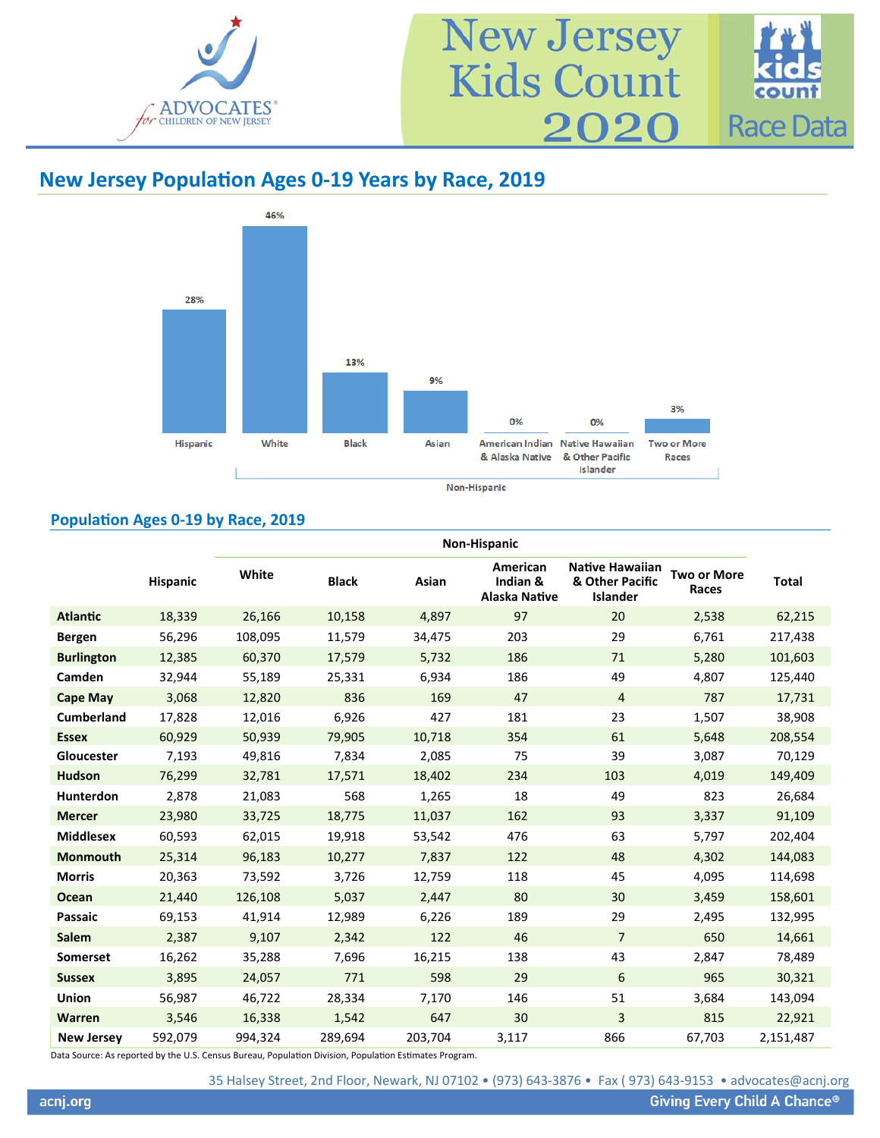

#### 46% 28% 13% 9% 3% 0% 0% Hispanic White **Black** Asian American Indian Native Hawaiian **Two or More** & Other Pacific & Alaska Native Races Islander

#### Non-Hispanic

### **PopulaƟon Ages 0‐19 by Race, 2019**

|                   |          | Non-Hispanic |              |         |                                              |                                                       |                             |              |  |  |  |
|-------------------|----------|--------------|--------------|---------|----------------------------------------------|-------------------------------------------------------|-----------------------------|--------------|--|--|--|
|                   | Hispanic | White        | <b>Black</b> | Asian   | American<br>Indian &<br><b>Alaska Native</b> | Native Hawaiian<br>& Other Pacific<br><b>Islander</b> | <b>Two or More</b><br>Races | <b>Total</b> |  |  |  |
| <b>Atlantic</b>   | 18,339   | 26,166       | 10,158       | 4,897   | 97                                           | 20                                                    | 2,538                       | 62,215       |  |  |  |
| <b>Bergen</b>     | 56,296   | 108,095      | 11,579       | 34,475  | 203                                          | 29                                                    | 6,761                       | 217,438      |  |  |  |
| <b>Burlington</b> | 12,385   | 60,370       | 17,579       | 5,732   | 186                                          | 71                                                    | 5,280                       | 101,603      |  |  |  |
| Camden            | 32,944   | 55,189       | 25,331       | 6,934   | 186                                          | 49                                                    | 4,807                       | 125,440      |  |  |  |
| <b>Cape May</b>   | 3,068    | 12,820       | 836          | 169     | 47                                           | $\overline{4}$                                        | 787                         | 17,731       |  |  |  |
| <b>Cumberland</b> | 17,828   | 12,016       | 6,926        | 427     | 181                                          | 23                                                    | 1,507                       | 38,908       |  |  |  |
| <b>Essex</b>      | 60,929   | 50,939       | 79,905       | 10,718  | 354                                          | 61                                                    | 5,648                       | 208,554      |  |  |  |
| Gloucester        | 7,193    | 49,816       | 7,834        | 2,085   | 75                                           | 39                                                    | 3,087                       | 70,129       |  |  |  |
| <b>Hudson</b>     | 76,299   | 32,781       | 17,571       | 18,402  | 234                                          | 103                                                   | 4,019                       | 149,409      |  |  |  |
| Hunterdon         | 2,878    | 21,083       | 568          | 1,265   | 18                                           | 49                                                    | 823                         | 26,684       |  |  |  |
| <b>Mercer</b>     | 23,980   | 33,725       | 18,775       | 11,037  | 162                                          | 93                                                    | 3,337                       | 91,109       |  |  |  |
| <b>Middlesex</b>  | 60,593   | 62,015       | 19,918       | 53,542  | 476                                          | 63                                                    | 5,797                       | 202,404      |  |  |  |
| <b>Monmouth</b>   | 25,314   | 96,183       | 10,277       | 7,837   | 122                                          | 48                                                    | 4,302                       | 144,083      |  |  |  |
| <b>Morris</b>     | 20,363   | 73,592       | 3,726        | 12,759  | 118                                          | 45                                                    | 4,095                       | 114,698      |  |  |  |
| <b>Ocean</b>      | 21,440   | 126,108      | 5,037        | 2,447   | 80                                           | 30                                                    | 3,459                       | 158,601      |  |  |  |
| <b>Passaic</b>    | 69,153   | 41,914       | 12,989       | 6,226   | 189                                          | 29                                                    | 2,495                       | 132,995      |  |  |  |
| <b>Salem</b>      | 2,387    | 9,107        | 2,342        | 122     | 46                                           | $\overline{7}$                                        | 650                         | 14,661       |  |  |  |
| <b>Somerset</b>   | 16,262   | 35,288       | 7,696        | 16,215  | 138                                          | 43                                                    | 2,847                       | 78,489       |  |  |  |
| <b>Sussex</b>     | 3,895    | 24,057       | 771          | 598     | 29                                           | 6                                                     | 965                         | 30,321       |  |  |  |
| <b>Union</b>      | 56,987   | 46,722       | 28,334       | 7,170   | 146                                          | 51                                                    | 3,684                       | 143,094      |  |  |  |
| <b>Warren</b>     | 3,546    | 16,338       | 1,542        | 647     | 30                                           | $\overline{3}$                                        | 815                         | 22,921       |  |  |  |
| <b>New Jersey</b> | 592,079  | 994,324      | 289,694      | 203,704 | 3,117                                        | 866                                                   | 67,703                      | 2,151,487    |  |  |  |

Data Source: As reported by the U.S. Census Bureau, Population Division, Population Estimates Program.

35 Halsey Street, 2nd Floor, Newark, NJ 07102 • (973) 643‐3876 • Fax ( 973) 643‐9153 • advocates@acnj.org

# **New Jersey PopulaƟon Ages 0‐19 Years by Race, 2019**

New Jersey<br>Kids Count 2020 Race Data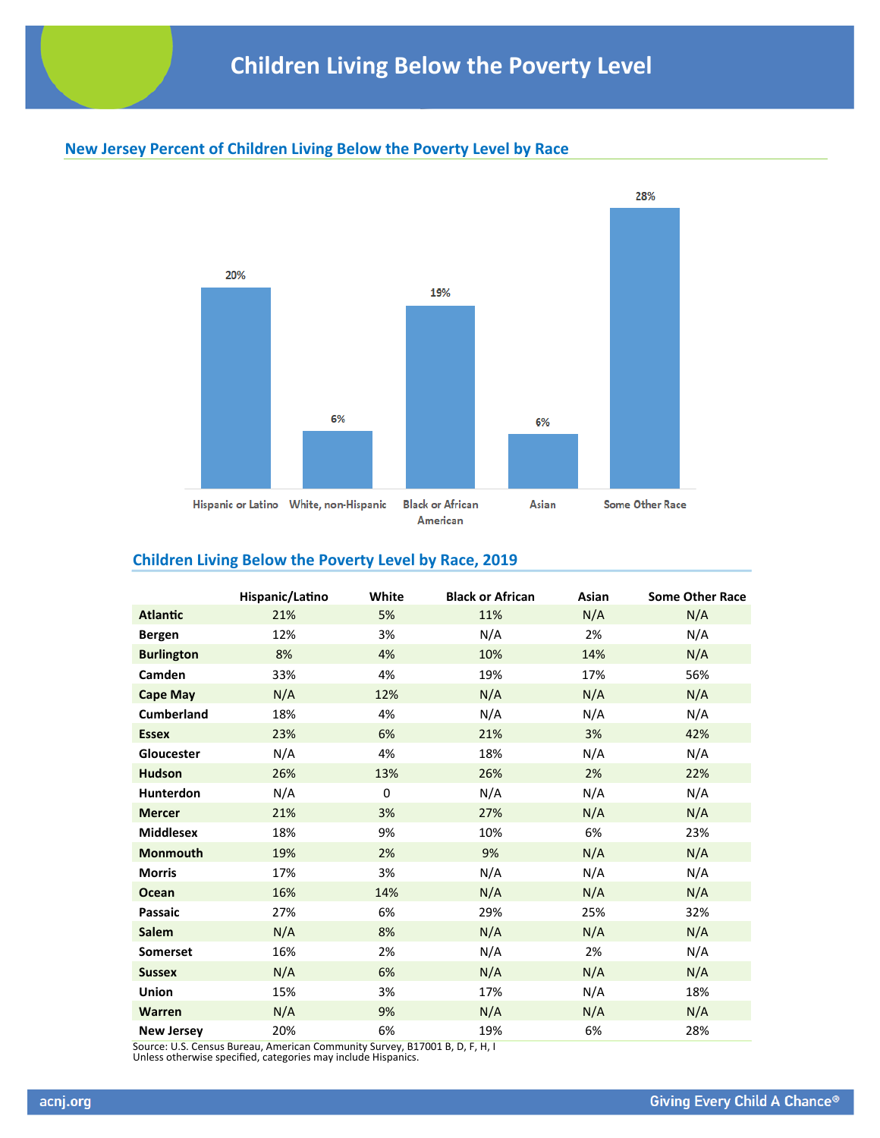# **New Jersey Percent of Children Living Below the Poverty Level by Race**



# **Children Living Below the Poverty Level by Race, 2019**

|                   | Hispanic/Latino | White | <b>Black or African</b> | Asian | <b>Some Other Race</b> |
|-------------------|-----------------|-------|-------------------------|-------|------------------------|
| <b>Atlantic</b>   | 21%             | 5%    | 11%                     | N/A   | N/A                    |
| <b>Bergen</b>     | 12%             | 3%    | N/A                     | 2%    | N/A                    |
| <b>Burlington</b> | 8%              | 4%    | 10%                     | 14%   | N/A                    |
| Camden            | 33%             | 4%    | 19%                     | 17%   | 56%                    |
| <b>Cape May</b>   | N/A             | 12%   | N/A                     | N/A   | N/A                    |
| <b>Cumberland</b> | 18%             | 4%    | N/A                     | N/A   | N/A                    |
| <b>Essex</b>      | 23%             | 6%    | 21%                     | 3%    | 42%                    |
| Gloucester        | N/A             | 4%    | 18%                     | N/A   | N/A                    |
| <b>Hudson</b>     | 26%             | 13%   | 26%                     | 2%    | 22%                    |
| Hunterdon         | N/A             | 0     | N/A                     | N/A   | N/A                    |
| <b>Mercer</b>     | 21%             | 3%    | 27%                     | N/A   | N/A                    |
| <b>Middlesex</b>  | 18%             | 9%    | 10%                     | 6%    | 23%                    |
| Monmouth          | 19%             | 2%    | 9%                      | N/A   | N/A                    |
| <b>Morris</b>     | 17%             | 3%    | N/A                     | N/A   | N/A                    |
| <b>Ocean</b>      | 16%             | 14%   | N/A                     | N/A   | N/A                    |
| Passaic           | 27%             | 6%    | 29%                     | 25%   | 32%                    |
| <b>Salem</b>      | N/A             | 8%    | N/A                     | N/A   | N/A                    |
| <b>Somerset</b>   | 16%             | 2%    | N/A                     | 2%    | N/A                    |
| <b>Sussex</b>     | N/A             | 6%    | N/A                     | N/A   | N/A                    |
| Union             | 15%             | 3%    | 17%                     | N/A   | 18%                    |
| Warren            | N/A             | 9%    | N/A                     | N/A   | N/A                    |
| <b>New Jersey</b> | 20%             | 6%    | 19%                     | 6%    | 28%                    |

Source: U.S. Census Bureau, American Community Survey, B17001 B, D, F, H, I Unless otherwise specified, categories may include Hispanics.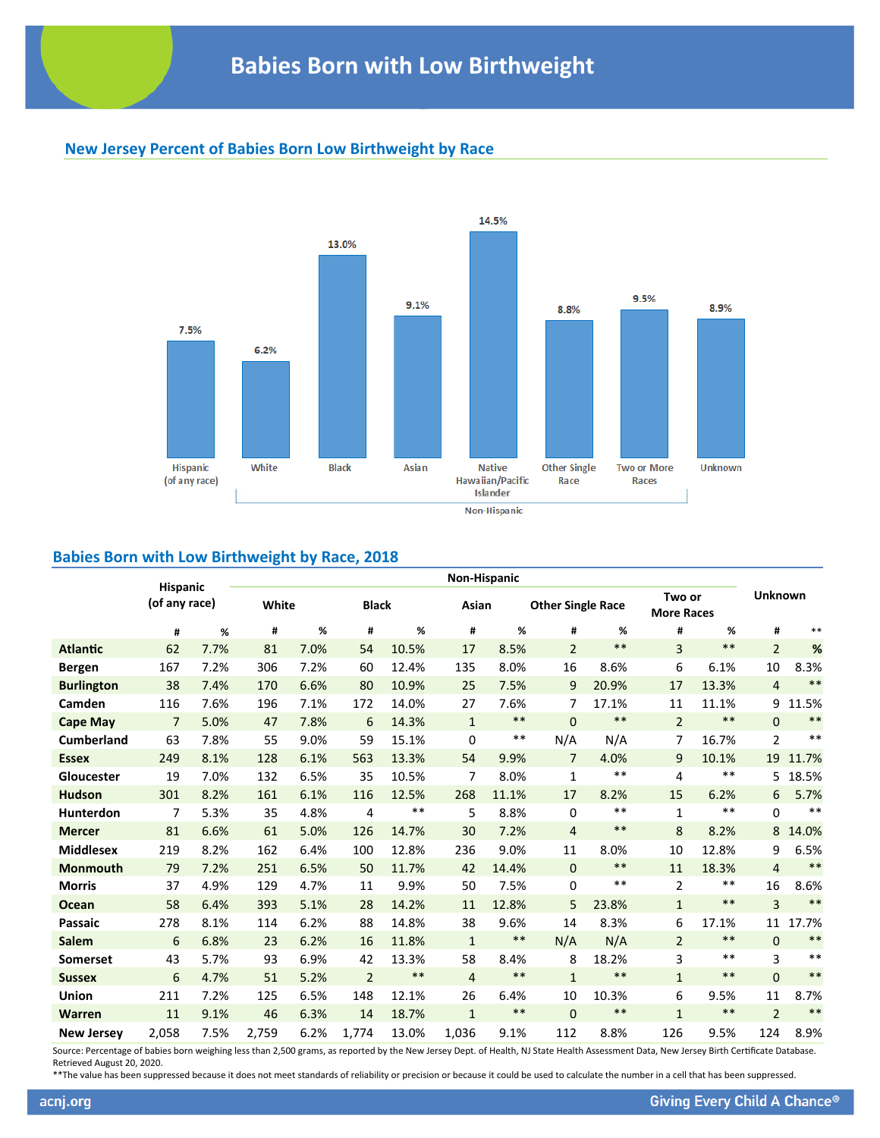# **New Jersey Percent of Babies Born Low Birthweight by Race**



## **Babies Born with Low Birthweight by Race, 2018**

|                   | Non-Hispanic<br><b>Hispanic</b> |      |       |              |                |       |                |                          |                |       |                             |       |                |       |
|-------------------|---------------------------------|------|-------|--------------|----------------|-------|----------------|--------------------------|----------------|-------|-----------------------------|-------|----------------|-------|
|                   | (of any race)                   |      | White | <b>Black</b> |                | Asian |                | <b>Other Single Race</b> |                |       | Two or<br><b>More Races</b> |       | <b>Unknown</b> |       |
|                   | #                               | %    | #     | %            | #              | %     | #              | %                        | #              | %     | #                           | %     | #              | $***$ |
| <b>Atlantic</b>   | 62                              | 7.7% | 81    | 7.0%         | 54             | 10.5% | 17             | 8.5%                     | $\overline{2}$ | $***$ | $\overline{3}$              | $***$ | $\overline{2}$ | $\%$  |
| <b>Bergen</b>     | 167                             | 7.2% | 306   | 7.2%         | 60             | 12.4% | 135            | 8.0%                     | 16             | 8.6%  | 6                           | 6.1%  | 10             | 8.3%  |
| <b>Burlington</b> | 38                              | 7.4% | 170   | 6.6%         | 80             | 10.9% | 25             | 7.5%                     | 9              | 20.9% | 17                          | 13.3% | $\overline{4}$ | $***$ |
| Camden            | 116                             | 7.6% | 196   | 7.1%         | 172            | 14.0% | 27             | 7.6%                     | 7              | 17.1% | 11                          | 11.1% | 9              | 11.5% |
| <b>Cape May</b>   | $\overline{7}$                  | 5.0% | 47    | 7.8%         | 6              | 14.3% | $\mathbf{1}$   | $***$                    | $\Omega$       | $***$ | $\overline{2}$              | $***$ | $\mathbf{0}$   | $***$ |
| <b>Cumberland</b> | 63                              | 7.8% | 55    | 9.0%         | 59             | 15.1% | 0              | $**$                     | N/A            | N/A   | 7                           | 16.7% | $\overline{2}$ | $***$ |
| <b>Essex</b>      | 249                             | 8.1% | 128   | 6.1%         | 563            | 13.3% | 54             | 9.9%                     | $\overline{7}$ | 4.0%  | 9                           | 10.1% | 19             | 11.7% |
| Gloucester        | 19                              | 7.0% | 132   | 6.5%         | 35             | 10.5% | 7              | 8.0%                     | 1              | **    | 4                           | $***$ | 5.             | 18.5% |
| <b>Hudson</b>     | 301                             | 8.2% | 161   | 6.1%         | 116            | 12.5% | 268            | 11.1%                    | 17             | 8.2%  | 15                          | 6.2%  | 6              | 5.7%  |
| <b>Hunterdon</b>  | 7                               | 5.3% | 35    | 4.8%         | 4              | $***$ | 5              | 8.8%                     | 0              | $***$ | $\mathbf{1}$                | $***$ | $\Omega$       | $***$ |
| <b>Mercer</b>     | 81                              | 6.6% | 61    | 5.0%         | 126            | 14.7% | 30             | 7.2%                     | $\overline{4}$ | $***$ | 8                           | 8.2%  | 8              | 14.0% |
| <b>Middlesex</b>  | 219                             | 8.2% | 162   | 6.4%         | 100            | 12.8% | 236            | 9.0%                     | 11             | 8.0%  | 10                          | 12.8% | 9              | 6.5%  |
| <b>Monmouth</b>   | 79                              | 7.2% | 251   | 6.5%         | 50             | 11.7% | 42             | 14.4%                    | $\mathbf{0}$   | $***$ | 11                          | 18.3% | 4              | $***$ |
| <b>Morris</b>     | 37                              | 4.9% | 129   | 4.7%         | 11             | 9.9%  | 50             | 7.5%                     | 0              | $***$ | $\overline{2}$              | $***$ | 16             | 8.6%  |
| Ocean             | 58                              | 6.4% | 393   | 5.1%         | 28             | 14.2% | 11             | 12.8%                    | 5              | 23.8% | $\mathbf{1}$                | $***$ | 3              | $***$ |
| <b>Passaic</b>    | 278                             | 8.1% | 114   | 6.2%         | 88             | 14.8% | 38             | 9.6%                     | 14             | 8.3%  | 6                           | 17.1% | 11             | 17.7% |
| <b>Salem</b>      | 6                               | 6.8% | 23    | 6.2%         | 16             | 11.8% | $\mathbf{1}$   | $***$                    | N/A            | N/A   | $\overline{2}$              | $***$ | $\Omega$       | $***$ |
| <b>Somerset</b>   | 43                              | 5.7% | 93    | 6.9%         | 42             | 13.3% | 58             | 8.4%                     | 8              | 18.2% | 3                           | $**$  | 3              | $***$ |
| <b>Sussex</b>     | 6                               | 4.7% | 51    | 5.2%         | $\overline{2}$ | $***$ | $\overline{4}$ | $***$                    | $\mathbf{1}$   | $***$ | $\mathbf{1}$                | $***$ | $\mathbf{0}$   | $***$ |
| <b>Union</b>      | 211                             | 7.2% | 125   | 6.5%         | 148            | 12.1% | 26             | 6.4%                     | 10             | 10.3% | 6                           | 9.5%  | 11             | 8.7%  |
| <b>Warren</b>     | 11                              | 9.1% | 46    | 6.3%         | 14             | 18.7% | $\mathbf{1}$   | $***$                    | $\mathbf 0$    | $***$ | $\mathbf{1}$                | $***$ | $\overline{2}$ | $***$ |
| <b>New Jersey</b> | 2.058                           | 7.5% | 2.759 | 6.2%         | 1.774          | 13.0% | 1.036          | 9.1%                     | 112            | 8.8%  | 126                         | 9.5%  | 124            | 8.9%  |

Source: Percentage of babies born weighing less than 2,500 grams, as reported by the New Jersey Dept. of Health, NJ State Health Assessment Data, New Jersey Birth Certificate Database. Retrieved August 20, 2020.

\*\*The value has been suppressed because it does not meet standards of reliability or precision or because it could be used to calculate the number in a cell that has been suppressed.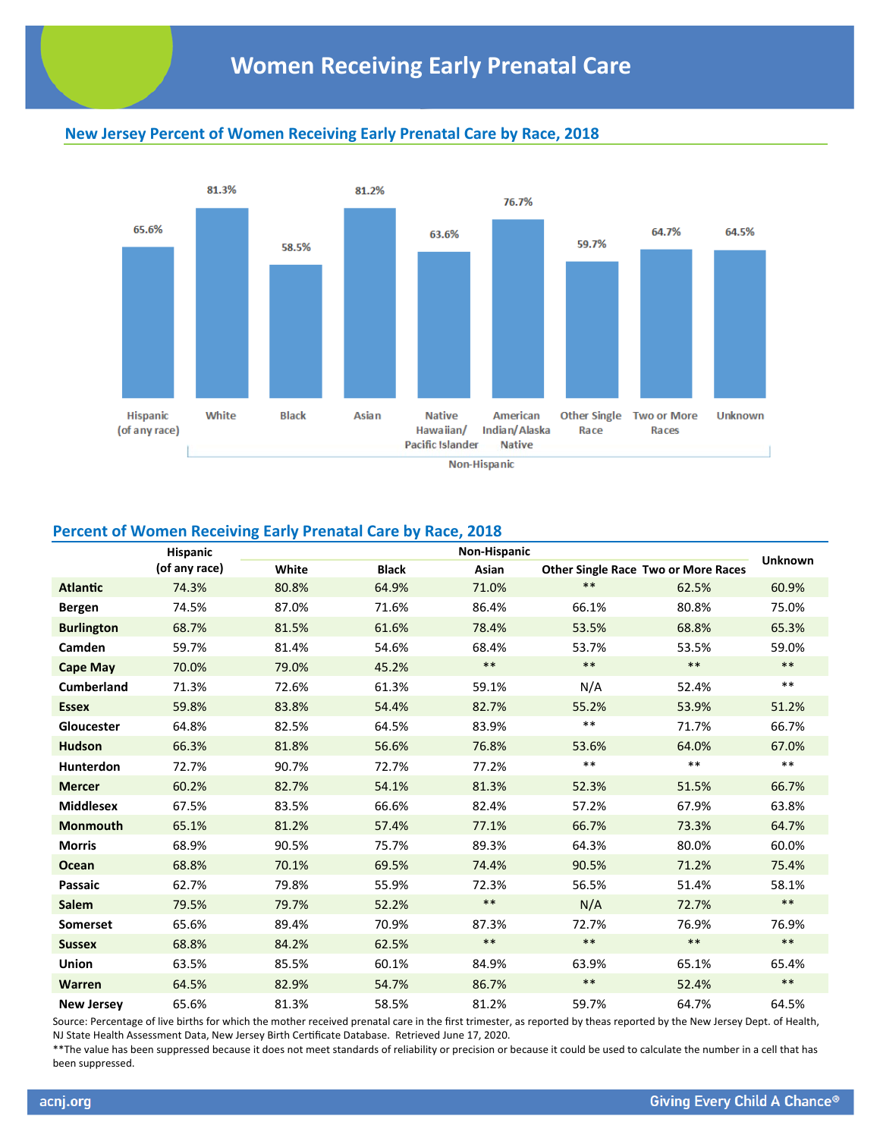# **New Jersey Percent of Women Receiving Early Prenatal Care by Race, 2018**



## **Percent of Women Receiving Early Prenatal Care by Race, 2018**

|                   | <b>Hispanic</b> |       |              | <b>Non-Hispanic</b> |       |                                            | <b>Unknown</b> |
|-------------------|-----------------|-------|--------------|---------------------|-------|--------------------------------------------|----------------|
|                   | (of any race)   | White | <b>Black</b> | Asian               |       | <b>Other Single Race Two or More Races</b> |                |
| <b>Atlantic</b>   | 74.3%           | 80.8% | 64.9%        | 71.0%               | $***$ | 62.5%                                      | 60.9%          |
| <b>Bergen</b>     | 74.5%           | 87.0% | 71.6%        | 86.4%               | 66.1% | 80.8%                                      | 75.0%          |
| <b>Burlington</b> | 68.7%           | 81.5% | 61.6%        | 78.4%               | 53.5% | 68.8%                                      | 65.3%          |
| Camden            | 59.7%           | 81.4% | 54.6%        | 68.4%               | 53.7% | 53.5%                                      | 59.0%          |
| <b>Cape May</b>   | 70.0%           | 79.0% | 45.2%        | $***$               | $***$ | $***$                                      | $***$          |
| <b>Cumberland</b> | 71.3%           | 72.6% | 61.3%        | 59.1%               | N/A   | 52.4%                                      | $***$          |
| <b>Essex</b>      | 59.8%           | 83.8% | 54.4%        | 82.7%               | 55.2% | 53.9%                                      | 51.2%          |
| Gloucester        | 64.8%           | 82.5% | 64.5%        | 83.9%               | $***$ | 71.7%                                      | 66.7%          |
| <b>Hudson</b>     | 66.3%           | 81.8% | 56.6%        | 76.8%               | 53.6% | 64.0%                                      | 67.0%          |
| <b>Hunterdon</b>  | 72.7%           | 90.7% | 72.7%        | 77.2%               | $***$ | $**$                                       | $***$          |
| <b>Mercer</b>     | 60.2%           | 82.7% | 54.1%        | 81.3%               | 52.3% | 51.5%                                      | 66.7%          |
| <b>Middlesex</b>  | 67.5%           | 83.5% | 66.6%        | 82.4%               | 57.2% | 67.9%                                      | 63.8%          |
| <b>Monmouth</b>   | 65.1%           | 81.2% | 57.4%        | 77.1%               | 66.7% | 73.3%                                      | 64.7%          |
| <b>Morris</b>     | 68.9%           | 90.5% | 75.7%        | 89.3%               | 64.3% | 80.0%                                      | 60.0%          |
| <b>Ocean</b>      | 68.8%           | 70.1% | 69.5%        | 74.4%               | 90.5% | 71.2%                                      | 75.4%          |
| <b>Passaic</b>    | 62.7%           | 79.8% | 55.9%        | 72.3%               | 56.5% | 51.4%                                      | 58.1%          |
| Salem             | 79.5%           | 79.7% | 52.2%        | $***$               | N/A   | 72.7%                                      | $***$          |
| <b>Somerset</b>   | 65.6%           | 89.4% | 70.9%        | 87.3%               | 72.7% | 76.9%                                      | 76.9%          |
| <b>Sussex</b>     | 68.8%           | 84.2% | 62.5%        | $***$               | $***$ | $***$                                      | $\ast\ast$     |
| Union             | 63.5%           | 85.5% | 60.1%        | 84.9%               | 63.9% | 65.1%                                      | 65.4%          |
| <b>Warren</b>     | 64.5%           | 82.9% | 54.7%        | 86.7%               | $***$ | 52.4%                                      | $\ast\ast$     |
| <b>New Jersey</b> | 65.6%           | 81.3% | 58.5%        | 81.2%               | 59.7% | 64.7%                                      | 64.5%          |

Source: Percentage of live births for which the mother received prenatal care in the first trimester, as reported by theas reported by the New Jersey Dept. of Health, NJ State Health Assessment Data, New Jersey Birth Certificate Database. Retrieved June 17, 2020.

\*\*The value has been suppressed because it does not meet standards of reliability or precision or because it could be used to calculate the number in a cell that has been suppressed.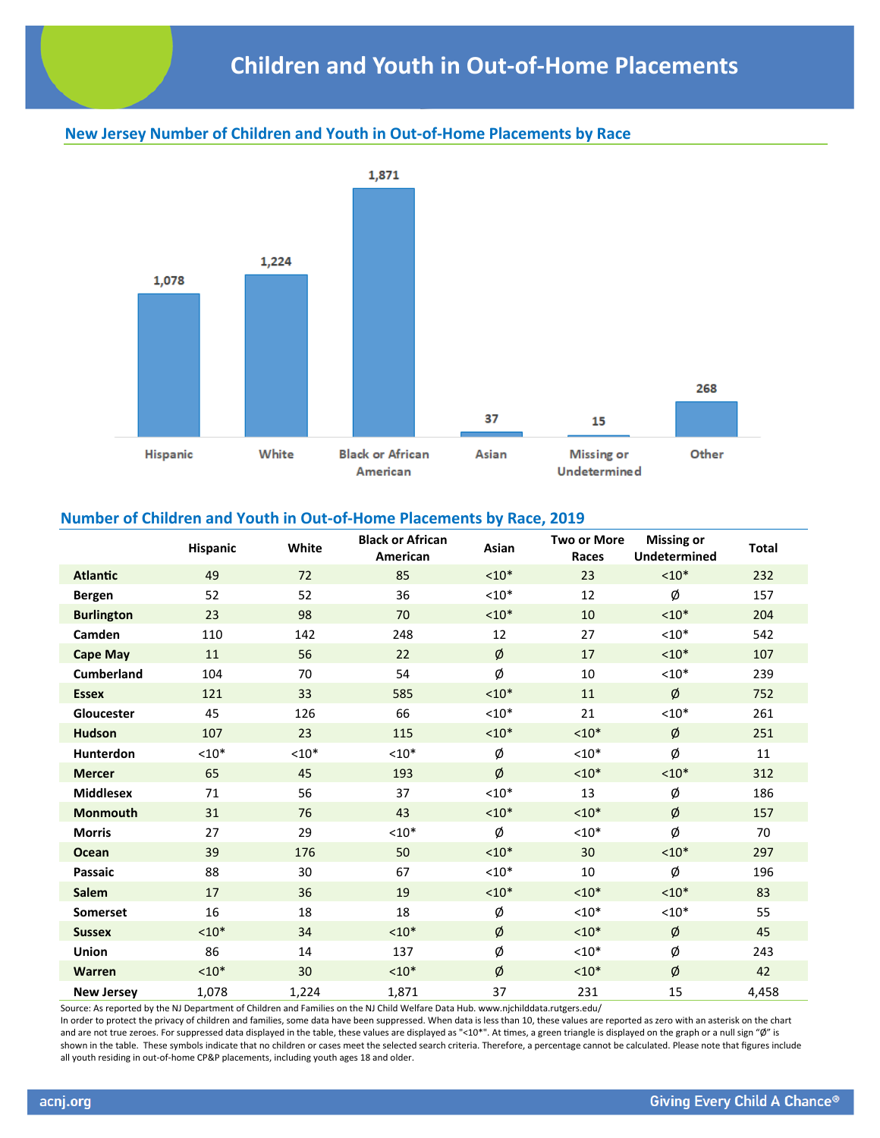# **New Jersey Number of Children and Youth in Out‐of‐Home Placements by Race**



#### **Number of Children and Youth in Out‐of‐Home Placements by Race, 2019**

|                   | Hispanic | White   | <b>Black or African</b><br>American | Asian   | <b>Two or More</b><br>Races | <b>Missing or</b><br><b>Undetermined</b> | <b>Total</b> |
|-------------------|----------|---------|-------------------------------------|---------|-----------------------------|------------------------------------------|--------------|
| <b>Atlantic</b>   | 49       | 72      | 85                                  | $< 10*$ | 23                          | $< 10*$                                  | 232          |
| <b>Bergen</b>     | 52       | 52      | 36                                  | $< 10*$ | 12                          | Ø                                        | 157          |
| <b>Burlington</b> | 23       | 98      | 70                                  | $< 10*$ | 10                          | $< 10*$                                  | 204          |
| Camden            | 110      | 142     | 248                                 | 12      | 27                          | $< 10*$                                  | 542          |
| <b>Cape May</b>   | 11       | 56      | 22                                  | Ø       | 17                          | $< 10*$                                  | 107          |
| <b>Cumberland</b> | 104      | 70      | 54                                  | Ø       | 10                          | $< 10*$                                  | 239          |
| <b>Essex</b>      | 121      | 33      | 585                                 | $< 10*$ | 11                          | Ø                                        | 752          |
| Gloucester        | 45       | 126     | 66                                  | $< 10*$ | 21                          | $< 10*$                                  | 261          |
| <b>Hudson</b>     | 107      | 23      | 115                                 | $< 10*$ | $< 10*$                     | Ø                                        | 251          |
| <b>Hunterdon</b>  | $< 10*$  | $< 10*$ | $< 10*$                             | Ø       | $< 10*$                     | Ø                                        | 11           |
| <b>Mercer</b>     | 65       | 45      | 193                                 | Ø       | $< 10*$                     | $< 10*$                                  | 312          |
| <b>Middlesex</b>  | 71       | 56      | 37                                  | $< 10*$ | 13                          | Ø                                        | 186          |
| <b>Monmouth</b>   | 31       | 76      | 43                                  | $< 10*$ | $< 10*$                     | Ø                                        | 157          |
| <b>Morris</b>     | 27       | 29      | $10*$                               | Ø       | $10*$                       | Ø                                        | 70           |
| <b>Ocean</b>      | 39       | 176     | 50                                  | $< 10*$ | 30                          | $< 10*$                                  | 297          |
| Passaic           | 88       | 30      | 67                                  | $< 10*$ | 10                          | Ø                                        | 196          |
| <b>Salem</b>      | 17       | 36      | 19                                  | $< 10*$ | $< 10*$                     | $< 10*$                                  | 83           |
| <b>Somerset</b>   | 16       | 18      | 18                                  | Ø       | $< 10*$                     | $< 10*$                                  | 55           |
| <b>Sussex</b>     | $< 10*$  | 34      | $< 10*$                             | Ø       | $< 10*$                     | Ø                                        | 45           |
| <b>Union</b>      | 86       | 14      | 137                                 | Ø       | $< 10*$                     | Ø                                        | 243          |
| Warren            | $< 10*$  | 30      | $< 10*$                             | Ø       | $< 10*$                     | Ø                                        | 42           |
| <b>New Jersey</b> | 1,078    | 1,224   | 1,871                               | 37      | 231                         | 15                                       | 4,458        |

Source: As reported by the NJ Department of Children and Families on the NJ Child Welfare Data Hub. www.njchilddata.rutgers.edu/

In order to protect the privacy of children and families, some data have been suppressed. When data is less than 10, these values are reported as zero with an asterisk on the chart and are not true zeroes. For suppressed data displayed in the table, these values are displayed as "<10\*". At times, a green triangle is displayed on the graph or a null sign "Ø" is shown in the table. These symbols indicate that no children or cases meet the selected search criteria. Therefore, a percentage cannot be calculated. Please note that figures include all youth residing in out-of-home CP&P placements, including youth ages 18 and older.